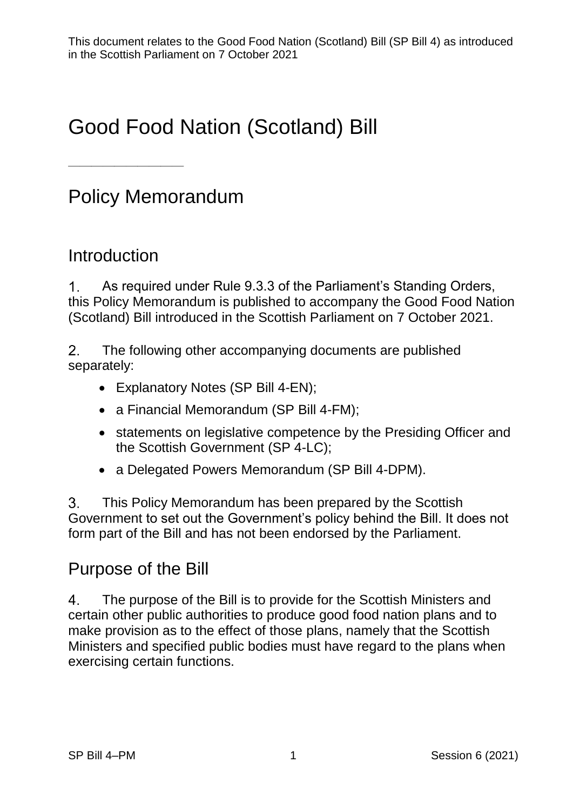# Good Food Nation (Scotland) Bill

# Policy Memorandum

### Introduction

——————————

 $1<sub>1</sub>$ As required under Rule 9.3.3 of the Parliament's Standing Orders, this Policy Memorandum is published to accompany the Good Food Nation (Scotland) Bill introduced in the Scottish Parliament on 7 October 2021.

 $2<sub>1</sub>$ The following other accompanying documents are published separately:

- Explanatory Notes (SP Bill 4-EN);
- a Financial Memorandum (SP Bill 4-FM);
- statements on legislative competence by the Presiding Officer and the Scottish Government (SP 4-LC);
- a Delegated Powers Memorandum (SP Bill 4-DPM).

 $3<sub>1</sub>$ This Policy Memorandum has been prepared by the Scottish Government to set out the Government's policy behind the Bill. It does not form part of the Bill and has not been endorsed by the Parliament.

### Purpose of the Bill

 $\overline{4}$ . The purpose of the Bill is to provide for the Scottish Ministers and certain other public authorities to produce good food nation plans and to make provision as to the effect of those plans, namely that the Scottish Ministers and specified public bodies must have regard to the plans when exercising certain functions.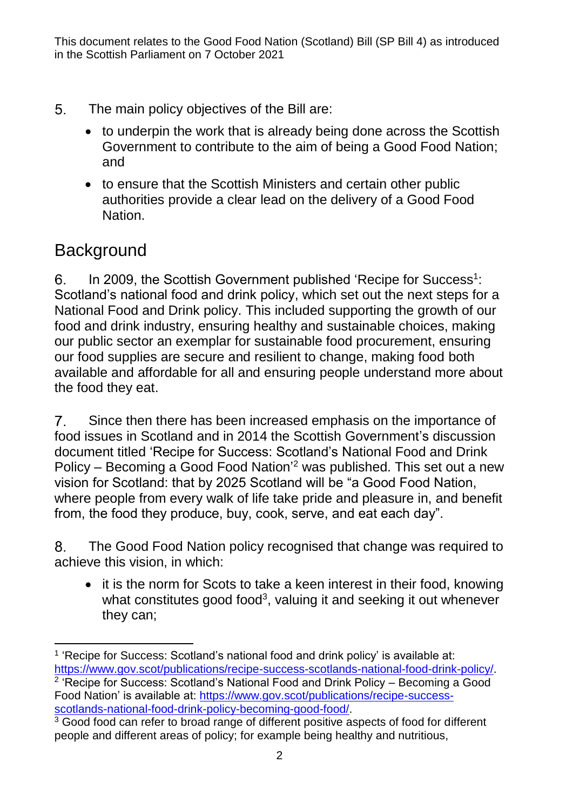- 5. The main policy objectives of the Bill are:
	- to underpin the work that is already being done across the Scottish Government to contribute to the aim of being a Good Food Nation; and
	- to ensure that the Scottish Ministers and certain other public authorities provide a clear lead on the delivery of a Good Food Nation.

# **Background**

In 2009, the Scottish Government published 'Recipe for Success<sup>1</sup>:  $6<sub>1</sub>$ Scotland's national food and drink policy, which set out the next steps for a National Food and Drink policy. This included supporting the growth of our food and drink industry, ensuring healthy and sustainable choices, making our public sector an exemplar for sustainable food procurement, ensuring our food supplies are secure and resilient to change, making food both available and affordable for all and ensuring people understand more about the food they eat.

 $7<sub>1</sub>$ Since then there has been increased emphasis on the importance of food issues in Scotland and in 2014 the Scottish Government's discussion document titled 'Recipe for Success: Scotland's National Food and Drink Policy – Becoming a Good Food Nation' <sup>2</sup> was published. This set out a new vision for Scotland: that by 2025 Scotland will be "a Good Food Nation, where people from every walk of life take pride and pleasure in, and benefit from, the food they produce, buy, cook, serve, and eat each day".

 $8<sub>1</sub>$ The Good Food Nation policy recognised that change was required to achieve this vision, in which:

• it is the norm for Scots to take a keen interest in their food, knowing what constitutes good food<sup>3</sup>, valuing it and seeking it out whenever they can;

<sup>&</sup>lt;u>.</u> <sup>1</sup> 'Recipe for Success: Scotland's national food and drink policy' is available at: [https://www.gov.scot/publications/recipe-success-scotlands-national-food-drink-policy/.](https://www.gov.scot/publications/recipe-success-scotlands-national-food-drink-policy/) <sup>2</sup> 'Recipe for Success: Scotland's National Food and Drink Policy – Becoming a Good Food Nation' is available at: [https://www.gov.scot/publications/recipe-success](https://www.gov.scot/publications/recipe-success-scotlands-national-food-drink-policy-becoming-good-food/)[scotlands-national-food-drink-policy-becoming-good-food/.](https://www.gov.scot/publications/recipe-success-scotlands-national-food-drink-policy-becoming-good-food/)

<sup>&</sup>lt;sup>3</sup> Good food can refer to broad range of different positive aspects of food for different people and different areas of policy; for example being healthy and nutritious,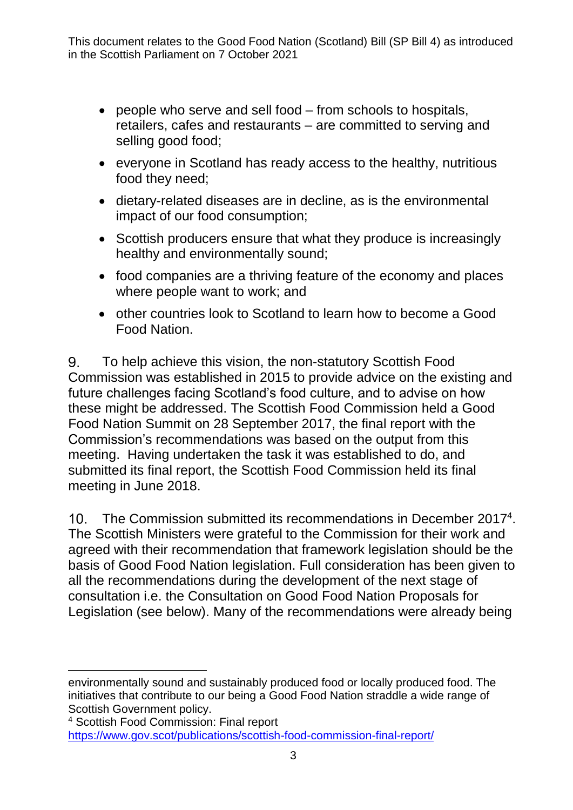- people who serve and sell food from schools to hospitals, retailers, cafes and restaurants – are committed to serving and selling good food;
- everyone in Scotland has ready access to the healthy, nutritious food they need;
- dietary-related diseases are in decline, as is the environmental impact of our food consumption;
- Scottish producers ensure that what they produce is increasingly healthy and environmentally sound;
- food companies are a thriving feature of the economy and places where people want to work; and
- other countries look to Scotland to learn how to become a Good Food Nation.

To help achieve this vision, the non-statutory Scottish Food 9. Commission was established in 2015 to provide advice on the existing and future challenges facing Scotland's food culture, and to advise on how these might be addressed. The Scottish Food Commission held a Good Food Nation Summit on 28 September 2017, the final report with the Commission's recommendations was based on the output from this meeting. Having undertaken the task it was established to do, and submitted its final report, the Scottish Food Commission held its final meeting in June 2018.

 $10<sub>1</sub>$ The Commission submitted its recommendations in December 2017<sup>4</sup>. The Scottish Ministers were grateful to the Commission for their work and agreed with their recommendation that framework legislation should be the basis of Good Food Nation legislation. Full consideration has been given to all the recommendations during the development of the next stage of consultation i.e. the Consultation on Good Food Nation Proposals for Legislation (see below). Many of the recommendations were already being

 $\overline{a}$ environmentally sound and sustainably produced food or locally produced food. The initiatives that contribute to our being a Good Food Nation straddle a wide range of Scottish Government policy.

<sup>4</sup> Scottish Food Commission: Final report <https://www.gov.scot/publications/scottish-food-commission-final-report/>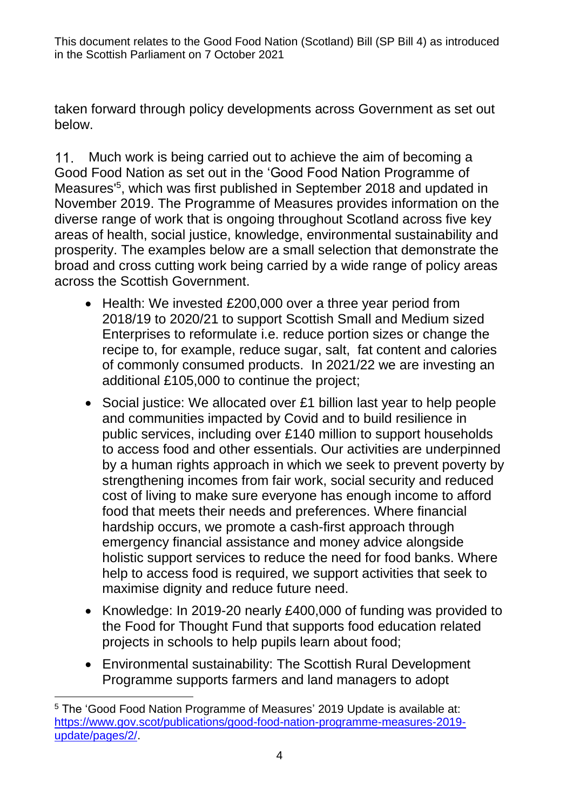taken forward through policy developments across Government as set out below.

Much work is being carried out to achieve the aim of becoming a  $11<sub>1</sub>$ Good Food Nation as set out in the 'Good Food Nation Programme of Measures' 5 , which was first published in September 2018 and updated in November 2019. The Programme of Measures provides information on the diverse range of work that is ongoing throughout Scotland across five key areas of health, social justice, knowledge, environmental sustainability and prosperity. The examples below are a small selection that demonstrate the broad and cross cutting work being carried by a wide range of policy areas across the Scottish Government.

- Health: We invested £200,000 over a three year period from 2018/19 to 2020/21 to support Scottish Small and Medium sized Enterprises to reformulate i.e. reduce portion sizes or change the recipe to, for example, reduce sugar, salt, fat content and calories of commonly consumed products. In 2021/22 we are investing an additional £105,000 to continue the project;
- Social justice: We allocated over £1 billion last year to help people and communities impacted by Covid and to build resilience in public services, including over £140 million to support households to access food and other essentials. Our activities are underpinned by a human rights approach in which we seek to prevent poverty by strengthening incomes from fair work, social security and reduced cost of living to make sure everyone has enough income to afford food that meets their needs and preferences. Where financial hardship occurs, we promote a cash-first approach through emergency financial assistance and money advice alongside holistic support services to reduce the need for food banks. Where help to access food is required, we support activities that seek to maximise dignity and reduce future need.
- Knowledge: In 2019-20 nearly £400,000 of funding was provided to the Food for Thought Fund that supports food education related projects in schools to help pupils learn about food;
- Environmental sustainability: The Scottish Rural Development Programme supports farmers and land managers to adopt

<sup>&</sup>lt;u>.</u> <sup>5</sup> The 'Good Food Nation Programme of Measures' 2019 Update is available at: [https://www.gov.scot/publications/good-food-nation-programme-measures-2019](https://www.gov.scot/publications/good-food-nation-programme-measures-2019-update/pages/2/) [update/pages/2/.](https://www.gov.scot/publications/good-food-nation-programme-measures-2019-update/pages/2/)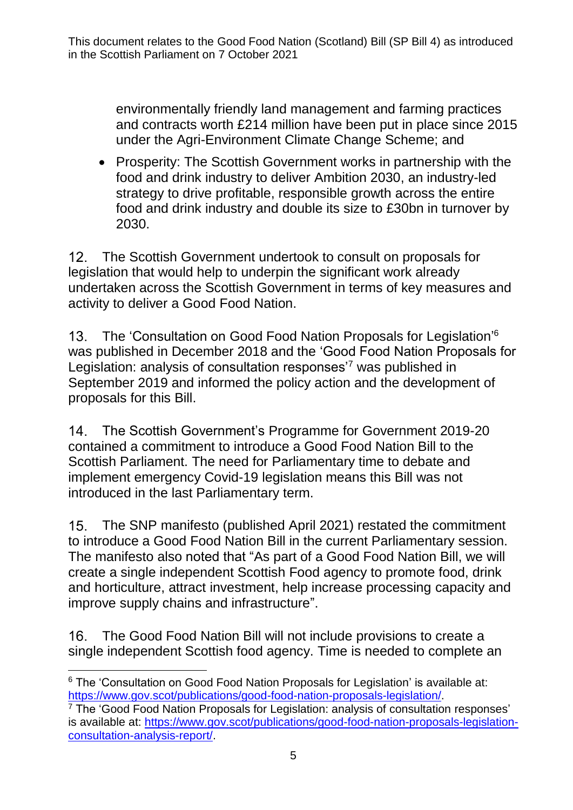environmentally friendly land management and farming practices and contracts worth £214 million have been put in place since 2015 under the Agri-Environment Climate Change Scheme; and

• Prosperity: The Scottish Government works in partnership with the food and drink industry to deliver Ambition 2030, an industry-led strategy to drive profitable, responsible growth across the entire food and drink industry and double its size to £30bn in turnover by 2030.

The Scottish Government undertook to consult on proposals for 12. legislation that would help to underpin the significant work already undertaken across the Scottish Government in terms of key measures and activity to deliver a Good Food Nation.

The 'Consultation on Good Food Nation Proposals for Legislation' 6 was published in December 2018 and the 'Good Food Nation Proposals for Legislation: analysis of consultation responses<sup>7</sup> was published in September 2019 and informed the policy action and the development of proposals for this Bill.

The Scottish Government's Programme for Government 2019-20  $14$ contained a commitment to introduce a Good Food Nation Bill to the Scottish Parliament. The need for Parliamentary time to debate and implement emergency Covid-19 legislation means this Bill was not introduced in the last Parliamentary term.

 $15<sub>1</sub>$ The SNP manifesto (published April 2021) restated the commitment to introduce a Good Food Nation Bill in the current Parliamentary session. The manifesto also noted that "As part of a Good Food Nation Bill, we will create a single independent Scottish Food agency to promote food, drink and horticulture, attract investment, help increase processing capacity and improve supply chains and infrastructure".

16. The Good Food Nation Bill will not include provisions to create a single independent Scottish food agency. Time is needed to complete an

 $\overline{a}$ <sup>6</sup> The 'Consultation on Good Food Nation Proposals for Legislation' is available at: [https://www.gov.scot/publications/good-food-nation-proposals-legislation/.](https://www.gov.scot/publications/good-food-nation-proposals-legislation/)

<sup>7</sup> The 'Good Food Nation Proposals for Legislation: analysis of consultation responses' is available at: [https://www.gov.scot/publications/good-food-nation-proposals-legislation](https://www.gov.scot/publications/good-food-nation-proposals-legislation-consultation-analysis-report/)[consultation-analysis-report/.](https://www.gov.scot/publications/good-food-nation-proposals-legislation-consultation-analysis-report/)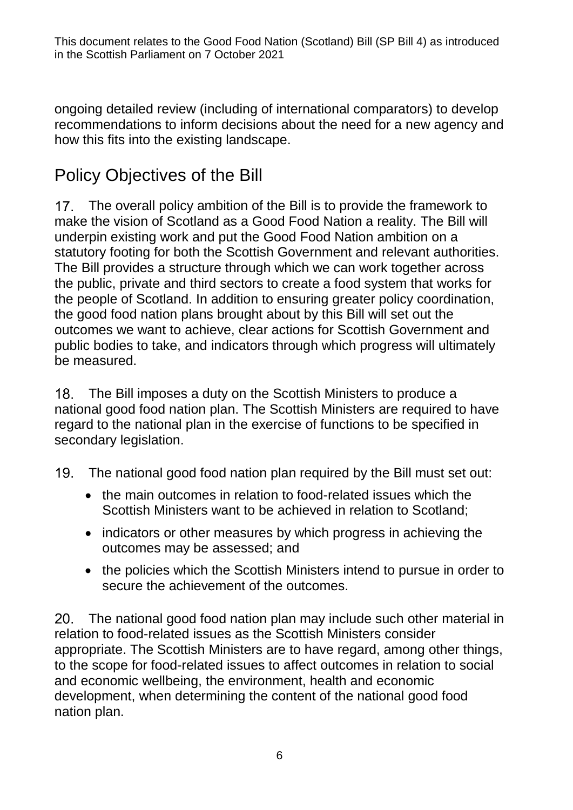ongoing detailed review (including of international comparators) to develop recommendations to inform decisions about the need for a new agency and how this fits into the existing landscape.

# Policy Objectives of the Bill

17. The overall policy ambition of the Bill is to provide the framework to make the vision of Scotland as a Good Food Nation a reality. The Bill will underpin existing work and put the Good Food Nation ambition on a statutory footing for both the Scottish Government and relevant authorities. The Bill provides a structure through which we can work together across the public, private and third sectors to create a food system that works for the people of Scotland. In addition to ensuring greater policy coordination, the good food nation plans brought about by this Bill will set out the outcomes we want to achieve, clear actions for Scottish Government and public bodies to take, and indicators through which progress will ultimately be measured.

The Bill imposes a duty on the Scottish Ministers to produce a 18. national good food nation plan. The Scottish Ministers are required to have regard to the national plan in the exercise of functions to be specified in secondary legislation.

- The national good food nation plan required by the Bill must set out:  $19<sub>1</sub>$ 
	- the main outcomes in relation to food-related issues which the Scottish Ministers want to be achieved in relation to Scotland;
	- indicators or other measures by which progress in achieving the outcomes may be assessed; and
	- the policies which the Scottish Ministers intend to pursue in order to secure the achievement of the outcomes.

The national good food nation plan may include such other material in relation to food-related issues as the Scottish Ministers consider appropriate. The Scottish Ministers are to have regard, among other things, to the scope for food-related issues to affect outcomes in relation to social and economic wellbeing, the environment, health and economic development, when determining the content of the national good food nation plan.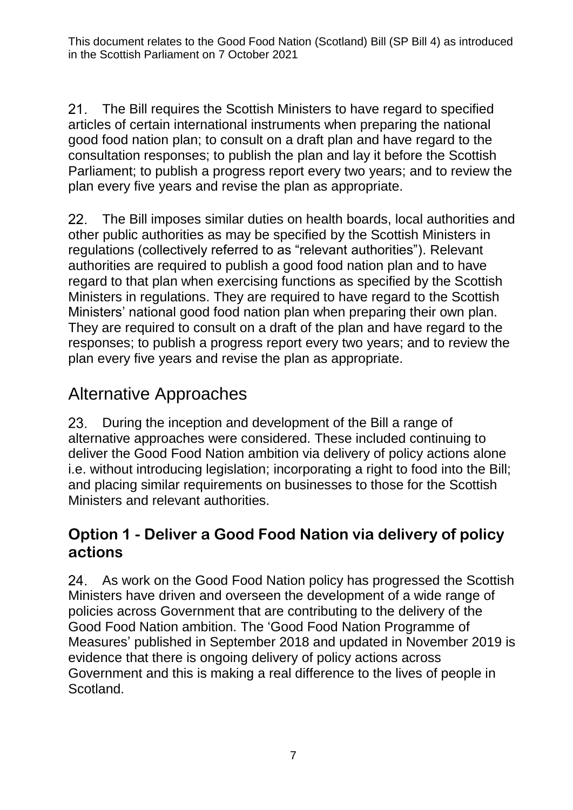$21$ The Bill requires the Scottish Ministers to have regard to specified articles of certain international instruments when preparing the national good food nation plan; to consult on a draft plan and have regard to the consultation responses; to publish the plan and lay it before the Scottish Parliament; to publish a progress report every two years; and to review the plan every five years and revise the plan as appropriate.

 $22.$ The Bill imposes similar duties on health boards, local authorities and other public authorities as may be specified by the Scottish Ministers in regulations (collectively referred to as "relevant authorities"). Relevant authorities are required to publish a good food nation plan and to have regard to that plan when exercising functions as specified by the Scottish Ministers in regulations. They are required to have regard to the Scottish Ministers' national good food nation plan when preparing their own plan. They are required to consult on a draft of the plan and have regard to the responses; to publish a progress report every two years; and to review the plan every five years and revise the plan as appropriate.

# Alternative Approaches

23. During the inception and development of the Bill a range of alternative approaches were considered. These included continuing to deliver the Good Food Nation ambition via delivery of policy actions alone i.e. without introducing legislation; incorporating a right to food into the Bill; and placing similar requirements on businesses to those for the Scottish Ministers and relevant authorities.

### **Option 1 - Deliver a Good Food Nation via delivery of policy actions**

24. As work on the Good Food Nation policy has progressed the Scottish Ministers have driven and overseen the development of a wide range of policies across Government that are contributing to the delivery of the Good Food Nation ambition. The 'Good Food Nation Programme of Measures' published in September 2018 and updated in November 2019 is evidence that there is ongoing delivery of policy actions across Government and this is making a real difference to the lives of people in Scotland.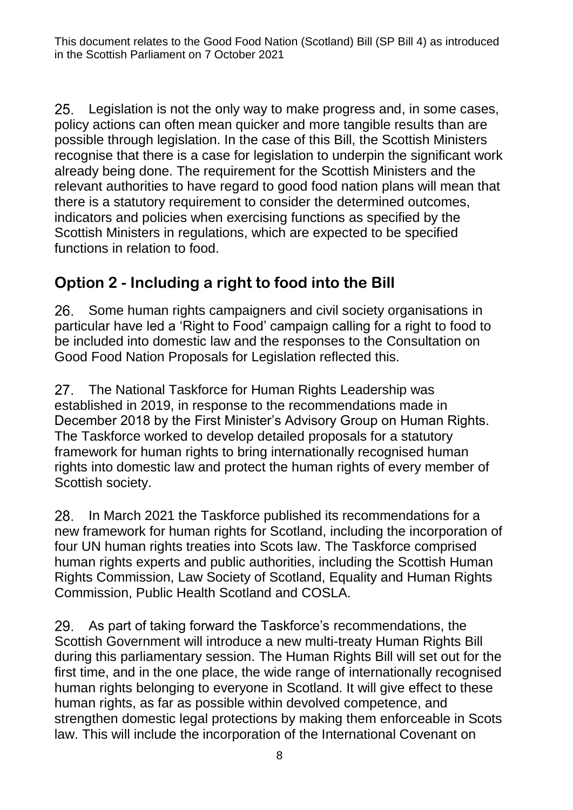$25.$ Legislation is not the only way to make progress and, in some cases, policy actions can often mean quicker and more tangible results than are possible through legislation. In the case of this Bill, the Scottish Ministers recognise that there is a case for legislation to underpin the significant work already being done. The requirement for the Scottish Ministers and the relevant authorities to have regard to good food nation plans will mean that there is a statutory requirement to consider the determined outcomes, indicators and policies when exercising functions as specified by the Scottish Ministers in regulations, which are expected to be specified functions in relation to food.

### **Option 2 - Including a right to food into the Bill**

26. Some human rights campaigners and civil society organisations in particular have led a 'Right to Food' campaign calling for a right to food to be included into domestic law and the responses to the Consultation on Good Food Nation Proposals for Legislation reflected this.

The National Taskforce for Human Rights Leadership was 27. established in 2019, in response to the recommendations made in December 2018 by the First Minister's Advisory Group on Human Rights. The Taskforce worked to develop detailed proposals for a statutory framework for human rights to bring internationally recognised human rights into domestic law and protect the human rights of every member of Scottish society.

In March 2021 the Taskforce published its recommendations for a 28. new framework for human rights for Scotland, including the incorporation of four UN human rights treaties into Scots law. The Taskforce comprised human rights experts and public authorities, including the Scottish Human Rights Commission, Law Society of Scotland, Equality and Human Rights Commission, Public Health Scotland and COSLA.

29. As part of taking forward the Taskforce's recommendations, the Scottish Government will introduce a new multi-treaty Human Rights Bill during this parliamentary session. The Human Rights Bill will set out for the first time, and in the one place, the wide range of internationally recognised human rights belonging to everyone in Scotland. It will give effect to these human rights, as far as possible within devolved competence, and strengthen domestic legal protections by making them enforceable in Scots law. This will include the incorporation of the International Covenant on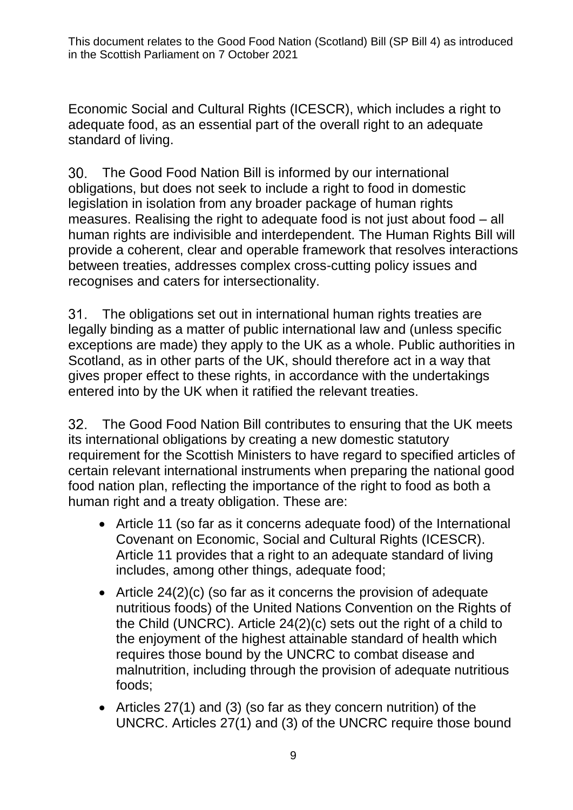Economic Social and Cultural Rights (ICESCR), which includes a right to adequate food, as an essential part of the overall right to an adequate standard of living.

30. The Good Food Nation Bill is informed by our international obligations, but does not seek to include a right to food in domestic legislation in isolation from any broader package of human rights measures. Realising the right to adequate food is not just about food – all human rights are indivisible and interdependent. The Human Rights Bill will provide a coherent, clear and operable framework that resolves interactions between treaties, addresses complex cross-cutting policy issues and recognises and caters for intersectionality.

 $31.$ The obligations set out in international human rights treaties are legally binding as a matter of public international law and (unless specific exceptions are made) they apply to the UK as a whole. Public authorities in Scotland, as in other parts of the UK, should therefore act in a way that gives proper effect to these rights, in accordance with the undertakings entered into by the UK when it ratified the relevant treaties.

The Good Food Nation Bill contributes to ensuring that the UK meets its international obligations by creating a new domestic statutory requirement for the Scottish Ministers to have regard to specified articles of certain relevant international instruments when preparing the national good food nation plan, reflecting the importance of the right to food as both a human right and a treaty obligation. These are:

- Article 11 (so far as it concerns adequate food) of the International Covenant on Economic, Social and Cultural Rights (ICESCR). Article 11 provides that a right to an adequate standard of living includes, among other things, adequate food;
- Article 24(2)(c) (so far as it concerns the provision of adequate nutritious foods) of the United Nations Convention on the Rights of the Child (UNCRC). Article 24(2)(c) sets out the right of a child to the enjoyment of the highest attainable standard of health which requires those bound by the UNCRC to combat disease and malnutrition, including through the provision of adequate nutritious foods;
- Articles 27(1) and (3) (so far as they concern nutrition) of the UNCRC. Articles 27(1) and (3) of the UNCRC require those bound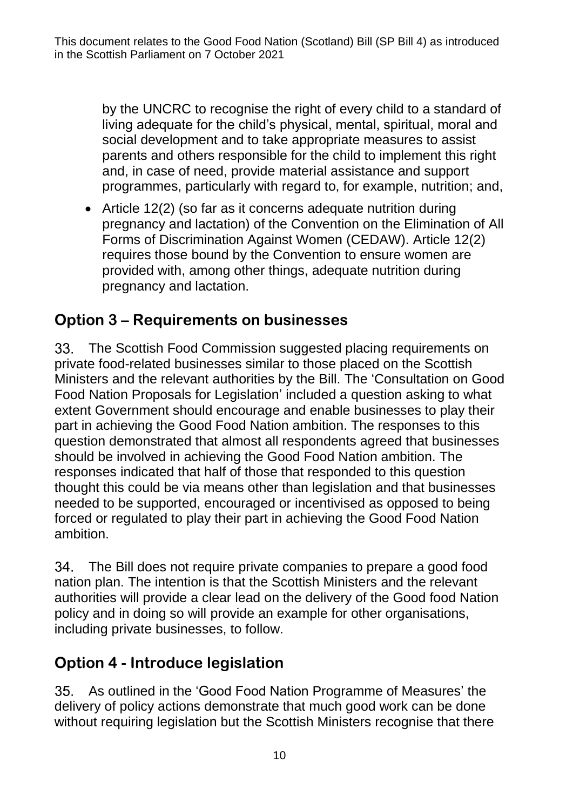by the UNCRC to recognise the right of every child to a standard of living adequate for the child's physical, mental, spiritual, moral and social development and to take appropriate measures to assist parents and others responsible for the child to implement this right and, in case of need, provide material assistance and support programmes, particularly with regard to, for example, nutrition; and,

• Article 12(2) (so far as it concerns adequate nutrition during pregnancy and lactation) of the Convention on the Elimination of All Forms of Discrimination Against Women (CEDAW). Article 12(2) requires those bound by the Convention to ensure women are provided with, among other things, adequate nutrition during pregnancy and lactation.

### **Option 3 – Requirements on businesses**

The Scottish Food Commission suggested placing requirements on private food-related businesses similar to those placed on the Scottish Ministers and the relevant authorities by the Bill. The 'Consultation on Good Food Nation Proposals for Legislation' included a question asking to what extent Government should encourage and enable businesses to play their part in achieving the Good Food Nation ambition. The responses to this question demonstrated that almost all respondents agreed that businesses should be involved in achieving the Good Food Nation ambition. The responses indicated that half of those that responded to this question thought this could be via means other than legislation and that businesses needed to be supported, encouraged or incentivised as opposed to being forced or regulated to play their part in achieving the Good Food Nation ambition.

 $34.$ The Bill does not require private companies to prepare a good food nation plan. The intention is that the Scottish Ministers and the relevant authorities will provide a clear lead on the delivery of the Good food Nation policy and in doing so will provide an example for other organisations, including private businesses, to follow.

### **Option 4 - Introduce legislation**

As outlined in the 'Good Food Nation Programme of Measures' the delivery of policy actions demonstrate that much good work can be done without requiring legislation but the Scottish Ministers recognise that there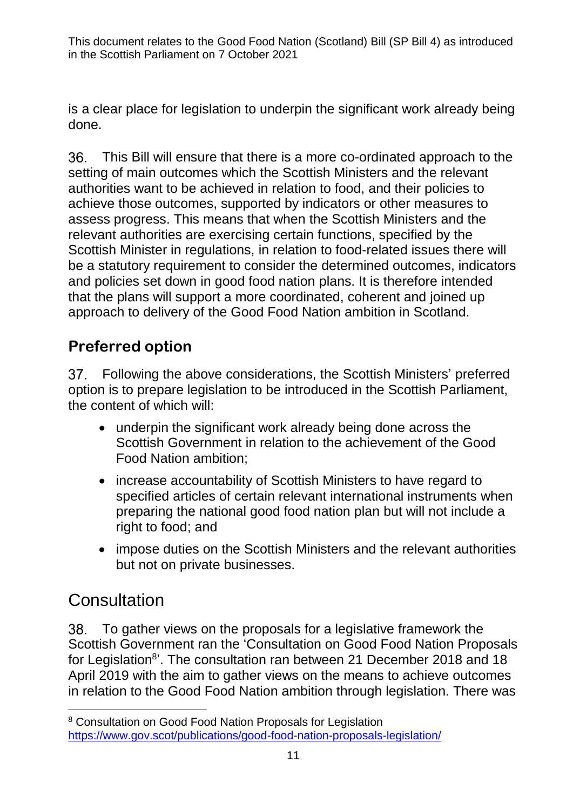is a clear place for legislation to underpin the significant work already being done.

This Bill will ensure that there is a more co-ordinated approach to the setting of main outcomes which the Scottish Ministers and the relevant authorities want to be achieved in relation to food, and their policies to achieve those outcomes, supported by indicators or other measures to assess progress. This means that when the Scottish Ministers and the relevant authorities are exercising certain functions, specified by the Scottish Minister in regulations, in relation to food-related issues there will be a statutory requirement to consider the determined outcomes, indicators and policies set down in good food nation plans. It is therefore intended that the plans will support a more coordinated, coherent and joined up approach to delivery of the Good Food Nation ambition in Scotland.

### **Preferred option**

37. Following the above considerations, the Scottish Ministers' preferred option is to prepare legislation to be introduced in the Scottish Parliament, the content of which will:

- underpin the significant work already being done across the Scottish Government in relation to the achievement of the Good Food Nation ambition;
- increase accountability of Scottish Ministers to have regard to specified articles of certain relevant international instruments when preparing the national good food nation plan but will not include a right to food; and
- impose duties on the Scottish Ministers and the relevant authorities but not on private businesses.

# **Consultation**

To gather views on the proposals for a legislative framework the 38. Scottish Government ran the 'Consultation on Good Food Nation Proposals for Legislation<sup>8</sup>'. The consultation ran between 21 December 2018 and 18 April 2019 with the aim to gather views on the means to achieve outcomes in relation to the Good Food Nation ambition through legislation. There was

 <sup>8</sup> Consultation on Good Food Nation Proposals for Legislation <https://www.gov.scot/publications/good-food-nation-proposals-legislation/>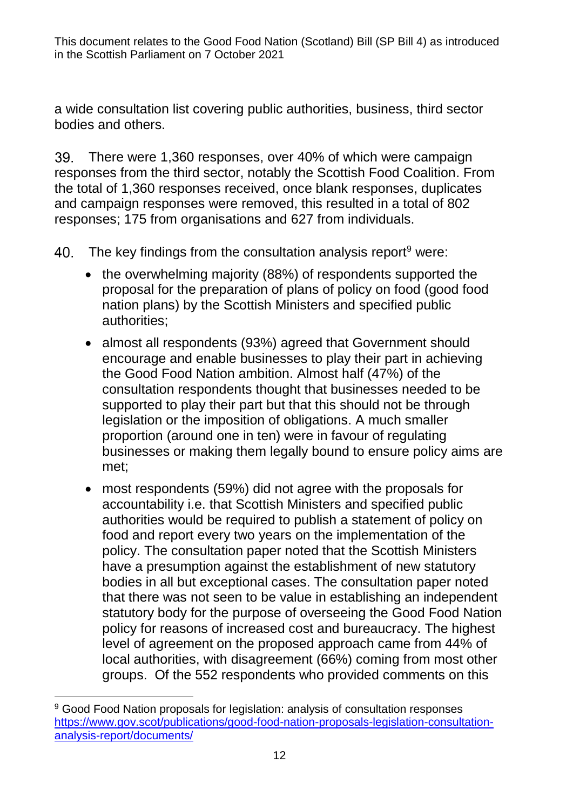a wide consultation list covering public authorities, business, third sector bodies and others.

There were 1,360 responses, over 40% of which were campaign 39. responses from the third sector, notably the Scottish Food Coalition. From the total of 1,360 responses received, once blank responses, duplicates and campaign responses were removed, this resulted in a total of 802 responses; 175 from organisations and 627 from individuals.

- The key findings from the consultation analysis report $9$  were: 40.
	- the overwhelming majority (88%) of respondents supported the proposal for the preparation of plans of policy on food (good food nation plans) by the Scottish Ministers and specified public authorities;
	- almost all respondents (93%) agreed that Government should encourage and enable businesses to play their part in achieving the Good Food Nation ambition. Almost half (47%) of the consultation respondents thought that businesses needed to be supported to play their part but that this should not be through legislation or the imposition of obligations. A much smaller proportion (around one in ten) were in favour of regulating businesses or making them legally bound to ensure policy aims are met;
	- most respondents (59%) did not agree with the proposals for accountability i.e. that Scottish Ministers and specified public authorities would be required to publish a statement of policy on food and report every two years on the implementation of the policy. The consultation paper noted that the Scottish Ministers have a presumption against the establishment of new statutory bodies in all but exceptional cases. The consultation paper noted that there was not seen to be value in establishing an independent statutory body for the purpose of overseeing the Good Food Nation policy for reasons of increased cost and bureaucracy. The highest level of agreement on the proposed approach came from 44% of local authorities, with disagreement (66%) coming from most other groups. Of the 552 respondents who provided comments on this

<sup>&</sup>lt;u>.</u> <sup>9</sup> Good Food Nation proposals for legislation: analysis of consultation responses [https://www.gov.scot/publications/good-food-nation-proposals-legislation-consultation](https://www.gov.scot/publications/good-food-nation-proposals-legislation-consultation-analysis-report/documents/)[analysis-report/documents/](https://www.gov.scot/publications/good-food-nation-proposals-legislation-consultation-analysis-report/documents/)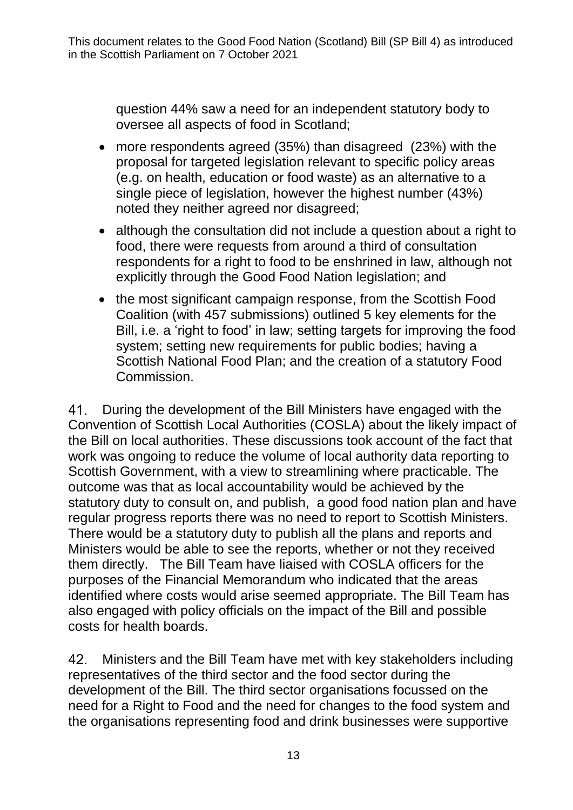question 44% saw a need for an independent statutory body to oversee all aspects of food in Scotland;

- more respondents agreed (35%) than disagreed (23%) with the proposal for targeted legislation relevant to specific policy areas (e.g. on health, education or food waste) as an alternative to a single piece of legislation, however the highest number (43%) noted they neither agreed nor disagreed;
- although the consultation did not include a question about a right to food, there were requests from around a third of consultation respondents for a right to food to be enshrined in law, although not explicitly through the Good Food Nation legislation; and
- the most significant campaign response, from the Scottish Food Coalition (with 457 submissions) outlined 5 key elements for the Bill, i.e. a 'right to food' in law; setting targets for improving the food system; setting new requirements for public bodies; having a Scottish National Food Plan; and the creation of a statutory Food Commission.

During the development of the Bill Ministers have engaged with the 41. Convention of Scottish Local Authorities (COSLA) about the likely impact of the Bill on local authorities. These discussions took account of the fact that work was ongoing to reduce the volume of local authority data reporting to Scottish Government, with a view to streamlining where practicable. The outcome was that as local accountability would be achieved by the statutory duty to consult on, and publish, a good food nation plan and have regular progress reports there was no need to report to Scottish Ministers. There would be a statutory duty to publish all the plans and reports and Ministers would be able to see the reports, whether or not they received them directly. The Bill Team have liaised with COSLA officers for the purposes of the Financial Memorandum who indicated that the areas identified where costs would arise seemed appropriate. The Bill Team has also engaged with policy officials on the impact of the Bill and possible costs for health boards.

42. Ministers and the Bill Team have met with key stakeholders including representatives of the third sector and the food sector during the development of the Bill. The third sector organisations focussed on the need for a Right to Food and the need for changes to the food system and the organisations representing food and drink businesses were supportive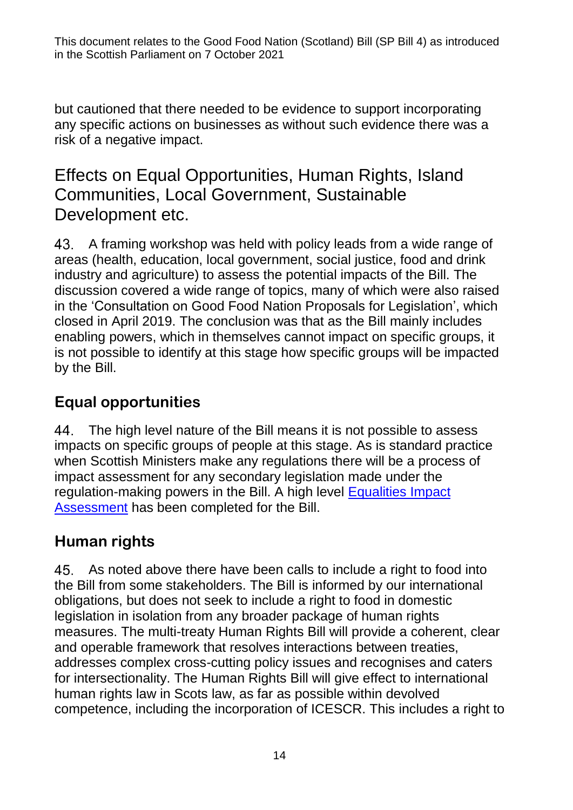but cautioned that there needed to be evidence to support incorporating any specific actions on businesses as without such evidence there was a risk of a negative impact.

### Effects on Equal Opportunities, Human Rights, Island Communities, Local Government, Sustainable Development etc.

43. A framing workshop was held with policy leads from a wide range of areas (health, education, local government, social justice, food and drink industry and agriculture) to assess the potential impacts of the Bill. The discussion covered a wide range of topics, many of which were also raised in the 'Consultation on Good Food Nation Proposals for Legislation', which closed in April 2019. The conclusion was that as the Bill mainly includes enabling powers, which in themselves cannot impact on specific groups, it is not possible to identify at this stage how specific groups will be impacted by the Bill.

### **Equal opportunities**

The high level nature of the Bill means it is not possible to assess impacts on specific groups of people at this stage. As is standard practice when Scottish Ministers make any regulations there will be a process of impact assessment for any secondary legislation made under the regulation-making powers in the Bill. A high level [Equalities Impact](https://www.gov.scot/isbn/9781802014402)  [Assessment](https://www.gov.scot/isbn/9781802014402) has been completed for the Bill.

### **Human rights**

As noted above there have been calls to include a right to food into the Bill from some stakeholders. The Bill is informed by our international obligations, but does not seek to include a right to food in domestic legislation in isolation from any broader package of human rights measures. The multi-treaty Human Rights Bill will provide a coherent, clear and operable framework that resolves interactions between treaties, addresses complex cross-cutting policy issues and recognises and caters for intersectionality. The Human Rights Bill will give effect to international human rights law in Scots law, as far as possible within devolved competence, including the incorporation of ICESCR. This includes a right to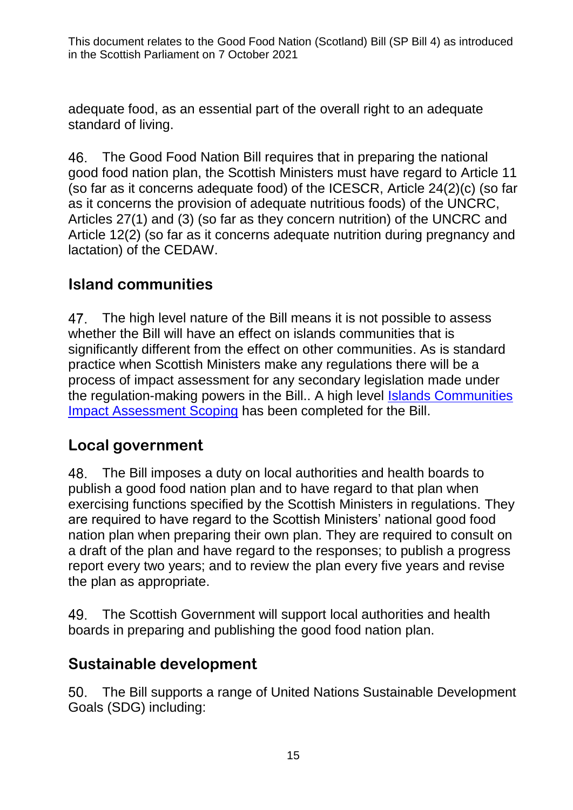adequate food, as an essential part of the overall right to an adequate standard of living.

The Good Food Nation Bill requires that in preparing the national good food nation plan, the Scottish Ministers must have regard to Article 11 (so far as it concerns adequate food) of the ICESCR, Article 24(2)(c) (so far as it concerns the provision of adequate nutritious foods) of the UNCRC, Articles 27(1) and (3) (so far as they concern nutrition) of the UNCRC and Article 12(2) (so far as it concerns adequate nutrition during pregnancy and lactation) of the CEDAW.

### **Island communities**

47. The high level nature of the Bill means it is not possible to assess whether the Bill will have an effect on islands communities that is significantly different from the effect on other communities. As is standard practice when Scottish Ministers make any regulations there will be a process of impact assessment for any secondary legislation made under the regulation-making powers in the Bill.. A high level [Islands Communities](https://www.gov.scot/isbn/9781802014419)  [Impact Assessment Scoping](https://www.gov.scot/isbn/9781802014419) has been completed for the Bill.

### **Local government**

The Bill imposes a duty on local authorities and health boards to publish a good food nation plan and to have regard to that plan when exercising functions specified by the Scottish Ministers in regulations. They are required to have regard to the Scottish Ministers' national good food nation plan when preparing their own plan. They are required to consult on a draft of the plan and have regard to the responses; to publish a progress report every two years; and to review the plan every five years and revise the plan as appropriate.

The Scottish Government will support local authorities and health 49. boards in preparing and publishing the good food nation plan.

### **Sustainable development**

The Bill supports a range of United Nations Sustainable Development 50. Goals (SDG) including: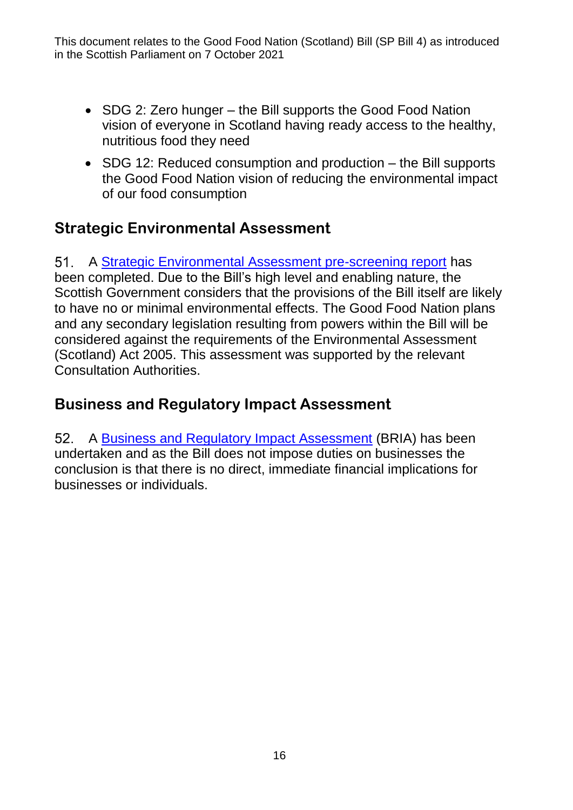- SDG 2: Zero hunger the Bill supports the Good Food Nation vision of everyone in Scotland having ready access to the healthy, nutritious food they need
- SDG 12: Reduced consumption and production the Bill supports the Good Food Nation vision of reducing the environmental impact of our food consumption

#### **Strategic Environmental Assessment**

51. A [Strategic Environmental Assessment pre-screening report](https://www.strategicenvironmentalassessment.gov.scot/) has been completed. Due to the Bill's high level and enabling nature, the Scottish Government considers that the provisions of the Bill itself are likely to have no or minimal environmental effects. The Good Food Nation plans and any secondary legislation resulting from powers within the Bill will be considered against the requirements of the Environmental Assessment (Scotland) Act 2005. This assessment was supported by the relevant Consultation Authorities.

#### **Business and Regulatory Impact Assessment**

52. A [Business and Regulatory](https://www.gov.scot/isbn/9781802014389) Impact Assessment (BRIA) has been undertaken and as the Bill does not impose duties on businesses the conclusion is that there is no direct, immediate financial implications for businesses or individuals.